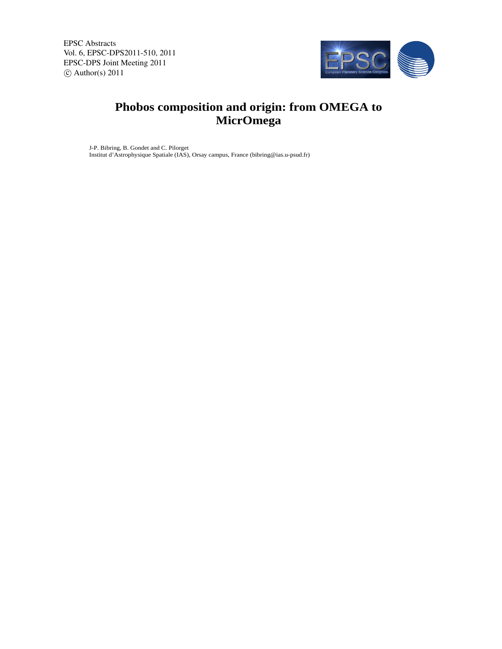EPSC Abstracts Vol. 6, EPSC-DPS2011-510, 2011 EPSC-DPS Joint Meeting 2011  $\circ$  Author(s) 2011



## **Phobos composition and origin: from OMEGA to MicrOmega**

J-P. Bibring, B. Gondet and C. Pilorget Institut d'Astrophysique Spatiale (IAS), Orsay campus, France (bibring@ias.u-psud.fr)